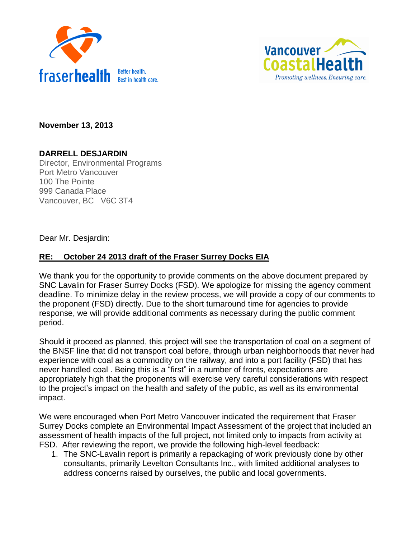



**November 13, 2013**

# **DARRELL DESJARDIN**

Director, Environmental Programs Port Metro Vancouver 100 The Pointe 999 Canada Place Vancouver, BC V6C 3T4

Dear Mr. Desjardin:

## **RE: October 24 2013 draft of the Fraser Surrey Docks EIA**

We thank you for the opportunity to provide comments on the above document prepared by SNC Lavalin for Fraser Surrey Docks (FSD). We apologize for missing the agency comment deadline. To minimize delay in the review process, we will provide a copy of our comments to the proponent (FSD) directly. Due to the short turnaround time for agencies to provide response, we will provide additional comments as necessary during the public comment period.

Should it proceed as planned, this project will see the transportation of coal on a segment of the BNSF line that did not transport coal before, through urban neighborhoods that never had experience with coal as a commodity on the railway, and into a port facility (FSD) that has never handled coal . Being this is a "first" in a number of fronts, expectations are appropriately high that the proponents will exercise very careful considerations with respect to the project's impact on the health and safety of the public, as well as its environmental impact.

We were encouraged when Port Metro Vancouver indicated the requirement that Fraser Surrey Docks complete an Environmental Impact Assessment of the project that included an assessment of health impacts of the full project, not limited only to impacts from activity at FSD. After reviewing the report, we provide the following high-level feedback:

1. The SNC-Lavalin report is primarily a repackaging of work previously done by other consultants, primarily Levelton Consultants Inc., with limited additional analyses to address concerns raised by ourselves, the public and local governments.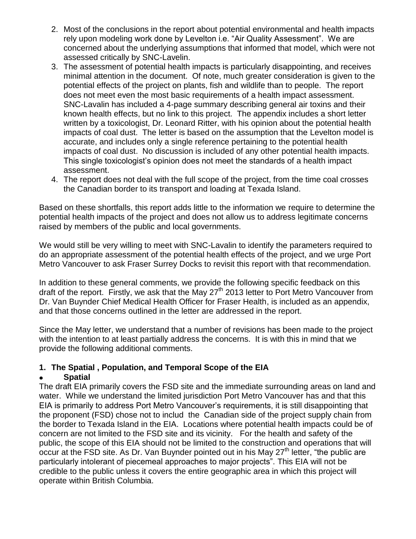- 2. Most of the conclusions in the report about potential environmental and health impacts rely upon modeling work done by Levelton i.e. "Air Quality Assessment". We are concerned about the underlying assumptions that informed that model, which were not assessed critically by SNC-Lavelin.
- 3. The assessment of potential health impacts is particularly disappointing, and receives minimal attention in the document. Of note, much greater consideration is given to the potential effects of the project on plants, fish and wildlife than to people. The report does not meet even the most basic requirements of a health impact assessment. SNC-Lavalin has included a 4-page summary describing general air toxins and their known health effects, but no link to this project. The appendix includes a short letter written by a toxicologist, Dr. Leonard Ritter, with his opinion about the potential health impacts of coal dust. The letter is based on the assumption that the Levelton model is accurate, and includes only a single reference pertaining to the potential health impacts of coal dust. No discussion is included of any other potential health impacts. This single toxicologist's opinion does not meet the standards of a health impact assessment.
- 4. The report does not deal with the full scope of the project, from the time coal crosses the Canadian border to its transport and loading at Texada Island.

Based on these shortfalls, this report adds little to the information we require to determine the potential health impacts of the project and does not allow us to address legitimate concerns raised by members of the public and local governments.

We would still be very willing to meet with SNC-Lavalin to identify the parameters required to do an appropriate assessment of the potential health effects of the project, and we urge Port Metro Vancouver to ask Fraser Surrey Docks to revisit this report with that recommendation.

In addition to these general comments, we provide the following specific feedback on this draft of the report. Firstly, we ask that the May  $27<sup>th</sup>$  2013 letter to Port Metro Vancouver from Dr. Van Buynder Chief Medical Health Officer for Fraser Health, is included as an appendix, and that those concerns outlined in the letter are addressed in the report.

Since the May letter, we understand that a number of revisions has been made to the project with the intention to at least partially address the concerns. It is with this in mind that we provide the following additional comments.

### **1. The Spatial , Population, and Temporal Scope of the EIA**

### **Spatial**

The draft EIA primarily covers the FSD site and the immediate surrounding areas on land and water. While we understand the limited jurisdiction Port Metro Vancouver has and that this EIA is primarily to address Port Metro Vancouver's requirements, it is still disappointing that the proponent (FSD) chose not to includ the Canadian side of the project supply chain from the border to Texada Island in the EIA. Locations where potential health impacts could be of concern are not limited to the FSD site and its vicinity. For the health and safety of the public, the scope of this EIA should not be limited to the construction and operations that will occur at the FSD site. As Dr. Van Buynder pointed out in his May  $27<sup>th</sup>$  letter, "the public are particularly intolerant of piecemeal approaches to major projects". This EIA will not be credible to the public unless it covers the entire geographic area in which this project will operate within British Columbia.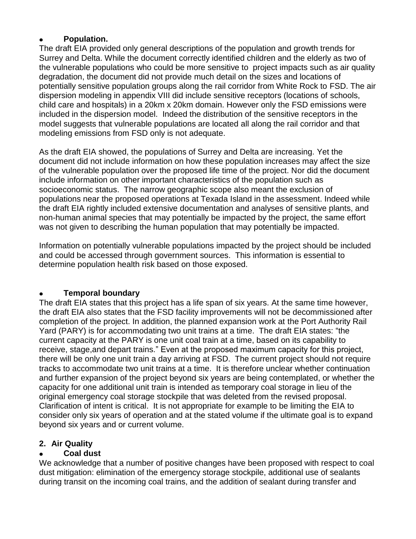#### **Population.**

The draft EIA provided only general descriptions of the population and growth trends for Surrey and Delta. While the document correctly identified children and the elderly as two of the vulnerable populations who could be more sensitive to project impacts such as air quality degradation, the document did not provide much detail on the sizes and locations of potentially sensitive population groups along the rail corridor from White Rock to FSD. The air dispersion modeling in appendix VIII did include sensitive receptors (locations of schools, child care and hospitals) in a 20km x 20km domain. However only the FSD emissions were included in the dispersion model. Indeed the distribution of the sensitive receptors in the model suggests that vulnerable populations are located all along the rail corridor and that modeling emissions from FSD only is not adequate.

As the draft EIA showed, the populations of Surrey and Delta are increasing. Yet the document did not include information on how these population increases may affect the size of the vulnerable population over the proposed life time of the project. Nor did the document include information on other important characteristics of the population such as socioeconomic status. The narrow geographic scope also meant the exclusion of populations near the proposed operations at Texada Island in the assessment. Indeed while the draft EIA rightly included extensive documentation and analyses of sensitive plants, and non-human animal species that may potentially be impacted by the project, the same effort was not given to describing the human population that may potentially be impacted.

Information on potentially vulnerable populations impacted by the project should be included and could be accessed through government sources. This information is essential to determine population health risk based on those exposed.

### **Temporal boundary**

The draft EIA states that this project has a life span of six years. At the same time however, the draft EIA also states that the FSD facility improvements will not be decommissioned after completion of the project. In addition, the planned expansion work at the Port Authority Rail Yard (PARY) is for accommodating two unit trains at a time. The draft EIA states: "the current capacity at the PARY is one unit coal train at a time, based on its capability to receive, stage,and depart trains." Even at the proposed maximum capacity for this project, there will be only one unit train a day arriving at FSD. The current project should not require tracks to accommodate two unit trains at a time. It is therefore unclear whether continuation and further expansion of the project beyond six years are being contemplated, or whether the capacity for one additional unit train is intended as temporary coal storage in lieu of the original emergency coal storage stockpile that was deleted from the revised proposal. Clarification of intent is critical. It is not appropriate for example to be limiting the EIA to consider only six years of operation and at the stated volume if the ultimate goal is to expand beyond six years and or current volume.

### **2. Air Quality**

### **Coal dust**

We acknowledge that a number of positive changes have been proposed with respect to coal dust mitigation: elimination of the emergency storage stockpile, additional use of sealants during transit on the incoming coal trains, and the addition of sealant during transfer and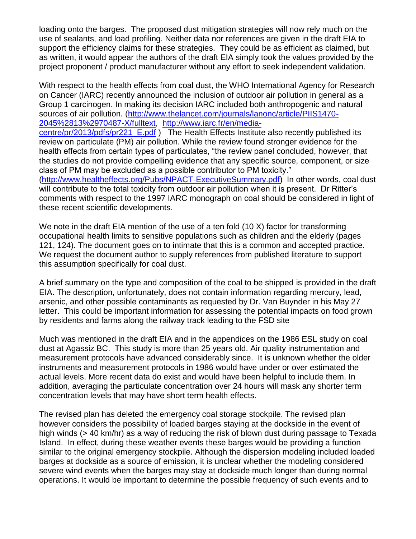loading onto the barges. The proposed dust mitigation strategies will now rely much on the use of sealants, and load profiling. Neither data nor references are given in the draft EIA to support the efficiency claims for these strategies. They could be as efficient as claimed, but as written, it would appear the authors of the draft EIA simply took the values provided by the project proponent / product manufacturer without any effort to seek independent validation.

With respect to the health effects from coal dust, the WHO International Agency for Research on Cancer (IARC) recently announced the inclusion of outdoor air pollution in general as a Group 1 carcinogen. In making its decision IARC included both anthropogenic and natural sources of air pollution. [\(http://www.thelancet.com/journals/lanonc/article/PIIS1470-](http://www.thelancet.com/journals/lanonc/article/PIIS1470-2045%2813%2970487-X/fulltext) [2045%2813%2970487-X/fulltext,](http://www.thelancet.com/journals/lanonc/article/PIIS1470-2045%2813%2970487-X/fulltext) [http://www.iarc.fr/en/media](http://www.iarc.fr/en/media-centre/pr/2013/pdfs/pr221_E.pdf)[centre/pr/2013/pdfs/pr221\\_E.pdf](http://www.iarc.fr/en/media-centre/pr/2013/pdfs/pr221_E.pdf) ) The Health Effects Institute also recently published its review on particulate (PM) air pollution. While the review found stronger evidence for the health effects from certain types of particulates, "the review panel concluded, however, that the studies do not provide compelling evidence that any specific source, component, or size class of PM may be excluded as a possible contributor to PM toxicity." [\(http://www.healtheffects.org/Pubs/NPACT-ExecutiveSummary.pdf\)](http://www.healtheffects.org/Pubs/NPACT-ExecutiveSummary.pdf) In other words, coal dust will contribute to the total toxicity from outdoor air pollution when it is present. Dr Ritter's comments with respect to the 1997 IARC monograph on coal should be considered in light of these recent scientific developments.

We note in the draft EIA mention of the use of a ten fold (10 X) factor for transforming occupational health limits to sensitive populations such as children and the elderly (pages 121, 124). The document goes on to intimate that this is a common and accepted practice. We request the document author to supply references from published literature to support this assumption specifically for coal dust.

A brief summary on the type and composition of the coal to be shipped is provided in the draft EIA. The description, unfortunately, does not contain information regarding mercury, lead, arsenic, and other possible contaminants as requested by Dr. Van Buynder in his May 27 letter. This could be important information for assessing the potential impacts on food grown by residents and farms along the railway track leading to the FSD site

Much was mentioned in the draft EIA and in the appendices on the 1986 ESL study on coal dust at Agassiz BC. This study is more than 25 years old. Air quality instrumentation and measurement protocols have advanced considerably since. It is unknown whether the older instruments and measurement protocols in 1986 would have under or over estimated the actual levels. More recent data do exist and would have been helpful to include them. In addition, averaging the particulate concentration over 24 hours will mask any shorter term concentration levels that may have short term health effects.

The revised plan has deleted the emergency coal storage stockpile. The revised plan however considers the possibility of loaded barges staying at the dockside in the event of high winds (> 40 km/hr) as a way of reducing the risk of blown dust during passage to Texada Island. In effect, during these weather events these barges would be providing a function similar to the original emergency stockpile. Although the dispersion modeling included loaded barges at dockside as a source of emission, it is unclear whether the modeling considered severe wind events when the barges may stay at dockside much longer than during normal operations. It would be important to determine the possible frequency of such events and to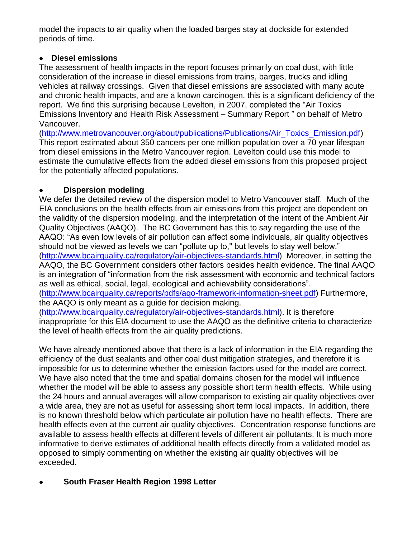model the impacts to air quality when the loaded barges stay at dockside for extended periods of time.

## **Diesel emissions**

The assessment of health impacts in the report focuses primarily on coal dust, with little consideration of the increase in diesel emissions from trains, barges, trucks and idling vehicles at railway crossings. Given that diesel emissions are associated with many acute and chronic health impacts, and are a known carcinogen, this is a significant deficiency of the report. We find this surprising because Levelton, in 2007, completed the "Air Toxics Emissions Inventory and Health Risk Assessment – Summary Report " on behalf of Metro Vancouver.

[\(http://www.metrovancouver.org/about/publications/Publications/Air\\_Toxics\\_Emission.pdf\)](http://www.metrovancouver.org/about/publications/Publications/Air_Toxics_Emission.pdf) This report estimated about 350 cancers per one million population over a 70 year lifespan from diesel emissions in the Metro Vancouver region. Levelton could use this model to estimate the cumulative effects from the added diesel emissions from this proposed project for the potentially affected populations.

## **Dispersion modeling**

We defer the detailed review of the dispersion model to Metro Vancouver staff. Much of the EIA conclusions on the health effects from air emissions from this project are dependent on the validity of the dispersion modeling, and the interpretation of the intent of the Ambient Air Quality Objectives (AAQO). The BC Government has this to say regarding the use of the AAQO: "As even low levels of air pollution can affect some individuals, air quality objectives should not be viewed as levels we can "pollute up to," but levels to stay well below." [\(http://www.bcairquality.ca/regulatory/air-objectives-standards.html\)](http://www.bcairquality.ca/regulatory/air-objectives-standards.html) Moreover, in setting the AAQO, the BC Government considers other factors besides health evidence. The final AAQO is an integration of "information from the risk assessment with economic and technical factors as well as ethical, social, legal, ecological and achievability considerations". [\(http://www.bcairquality.ca/reports/pdfs/aqo-framework-information-sheet.pdf\)](http://www.bcairquality.ca/reports/pdfs/aqo-framework-information-sheet.pdf) Furthermore,

the AAQO is only meant as a guide for decision making.

[\(http://www.bcairquality.ca/regulatory/air-objectives-standards.html\)](http://www.bcairquality.ca/regulatory/air-objectives-standards.html). It is therefore inappropriate for this EIA document to use the AAQO as the definitive criteria to characterize the level of health effects from the air quality predictions.

We have already mentioned above that there is a lack of information in the EIA regarding the efficiency of the dust sealants and other coal dust mitigation strategies, and therefore it is impossible for us to determine whether the emission factors used for the model are correct. We have also noted that the time and spatial domains chosen for the model will influence whether the model will be able to assess any possible short term health effects. While using the 24 hours and annual averages will allow comparison to existing air quality objectives over a wide area, they are not as useful for assessing short term local impacts. In addition, there is no known threshold below which particulate air pollution have no health effects. There are health effects even at the current air quality objectives. Concentration response functions are available to assess health effects at different levels of different air pollutants. It is much more informative to derive estimates of additional health effects directly from a validated model as opposed to simply commenting on whether the existing air quality objectives will be exceeded.

# **South Fraser Health Region 1998 Letter**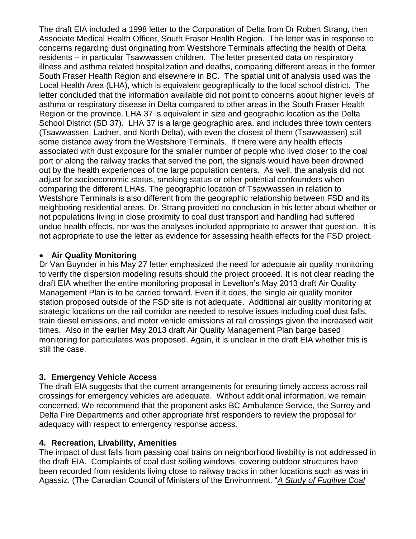The draft EIA included a 1998 letter to the Corporation of Delta from Dr Robert Strang, then Associate Medical Health Officer, South Fraser Health Region. The letter was in response to concerns regarding dust originating from Westshore Terminals affecting the health of Delta residents – in particular Tsawwassen children. The letter presented data on respiratory illness and asthma related hospitalization and deaths, comparing different areas in the former South Fraser Health Region and elsewhere in BC. The spatial unit of analysis used was the Local Health Area (LHA), which is equivalent geographically to the local school district. The letter concluded that the information available did not point to concerns about higher levels of asthma or respiratory disease in Delta compared to other areas in the South Fraser Health Region or the province. LHA 37 is equivalent in size and geographic location as the Delta School District (SD 37). LHA 37 is a large geographic area, and includes three town centers (Tsawwassen, Ladner, and North Delta), with even the closest of them (Tsawwassen) still some distance away from the Westshore Terminals. If there were any health effects associated with dust exposure for the smaller number of people who lived closer to the coal port or along the railway tracks that served the port, the signals would have been drowned out by the health experiences of the large population centers. As well, the analysis did not adjust for socioeconomic status, smoking status or other potential confounders when comparing the different LHAs. The geographic location of Tsawwassen in relation to Westshore Terminals is also different from the geographic relationship between FSD and its neighboring residential areas. Dr. Strang provided no conclusion in his letter about whether or not populations living in close proximity to coal dust transport and handling had suffered undue health effects, nor was the analyses included appropriate to answer that question. It is not appropriate to use the letter as evidence for assessing health effects for the FSD project.

### **Air Quality Monitoring**

Dr Van Buynder in his May 27 letter emphasized the need for adequate air quality monitoring to verify the dispersion modeling results should the project proceed. It is not clear reading the draft EIA whether the entire monitoring proposal in Levelton's May 2013 draft Air Quality Management Plan is to be carried forward. Even if it does, the single air quality monitor station proposed outside of the FSD site is not adequate. Additional air quality monitoring at strategic locations on the rail corridor are needed to resolve issues including coal dust falls, train diesel emissions, and motor vehicle emissions at rail crossings given the increased wait times. Also in the earlier May 2013 draft Air Quality Management Plan barge based monitoring for particulates was proposed. Again, it is unclear in the draft EIA whether this is still the case.

### **3. Emergency Vehicle Access**

The draft EIA suggests that the current arrangements for ensuring timely access across rail crossings for emergency vehicles are adequate. Without additional information, we remain concerned. We recommend that the proponent asks BC Ambulance Service, the Surrey and Delta Fire Departments and other appropriate first responders to review the proposal for adequacy with respect to emergency response access.

#### **4. Recreation, Livability, Amenities**

The impact of dust falls from passing coal trains on neighborhood livability is not addressed in the draft EIA. Complaints of coal dust soiling windows, covering outdoor structures have been recorded from residents living close to railway tracks in other locations such as was in Agassiz. (The Canadian Council of Ministers of the Environment. "*A Study of Fugitive Coal*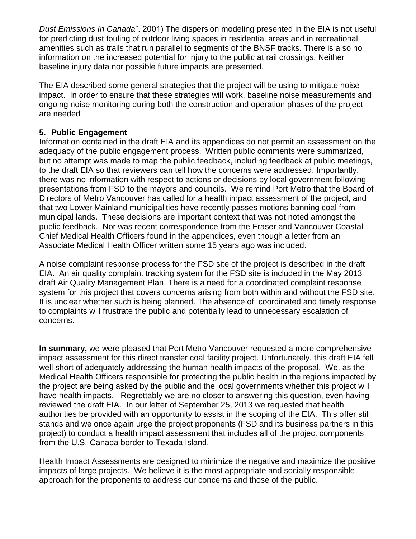*Dust Emissions In Canada*". 2001) The dispersion modeling presented in the EIA is not useful for predicting dust fouling of outdoor living spaces in residential areas and in recreational amenities such as trails that run parallel to segments of the BNSF tracks. There is also no information on the increased potential for injury to the public at rail crossings. Neither baseline injury data nor possible future impacts are presented.

The EIA described some general strategies that the project will be using to mitigate noise impact. In order to ensure that these strategies will work, baseline noise measurements and ongoing noise monitoring during both the construction and operation phases of the project are needed

## **5. Public Engagement**

Information contained in the draft EIA and its appendices do not permit an assessment on the adequacy of the public engagement process. Written public comments were summarized, but no attempt was made to map the public feedback, including feedback at public meetings, to the draft EIA so that reviewers can tell how the concerns were addressed. Importantly, there was no information with respect to actions or decisions by local government following presentations from FSD to the mayors and councils. We remind Port Metro that the Board of Directors of Metro Vancouver has called for a health impact assessment of the project, and that two Lower Mainland municipalities have recently passes motions banning coal from municipal lands. These decisions are important context that was not noted amongst the public feedback. Nor was recent correspondence from the Fraser and Vancouver Coastal Chief Medical Health Officers found in the appendices, even though a letter from an Associate Medical Health Officer written some 15 years ago was included.

A noise complaint response process for the FSD site of the project is described in the draft EIA. An air quality complaint tracking system for the FSD site is included in the May 2013 draft Air Quality Management Plan. There is a need for a coordinated complaint response system for this project that covers concerns arising from both within and without the FSD site. It is unclear whether such is being planned. The absence of coordinated and timely response to complaints will frustrate the public and potentially lead to unnecessary escalation of concerns.

**In summary,** we were pleased that Port Metro Vancouver requested a more comprehensive impact assessment for this direct transfer coal facility project. Unfortunately, this draft EIA fell well short of adequately addressing the human health impacts of the proposal. We, as the Medical Health Officers responsible for protecting the public health in the regions impacted by the project are being asked by the public and the local governments whether this project will have health impacts. Regrettably we are no closer to answering this question, even having reviewed the draft EIA. In our letter of September 25, 2013 we requested that health authorities be provided with an opportunity to assist in the scoping of the EIA. This offer still stands and we once again urge the project proponents (FSD and its business partners in this project) to conduct a health impact assessment that includes all of the project components from the U.S.-Canada border to Texada Island.

Health Impact Assessments are designed to minimize the negative and maximize the positive impacts of large projects. We believe it is the most appropriate and socially responsible approach for the proponents to address our concerns and those of the public.